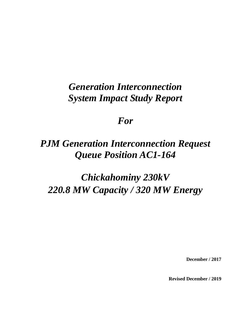# *Generation Interconnection System Impact Study Report*

# *For*

# *PJM Generation Interconnection Request Queue Position AC1-164*

# *Chickahominy 230kV 220.8 MW Capacity / 320 MW Energy*

**December / 2017**

**Revised December / 2019**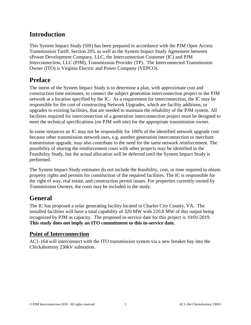# **Introduction**

This System Impact Study (SIS) has been prepared in accordance with the PJM Open Access Transmission Tariff, Section 205, as well as the System Impact Study Agreement between sPower Development Company, LLC, the Interconnection Customer (IC) and PJM Interconnection, LLC (PJM), Transmission Provider (TP). The Interconnected Transmission Owner (ITO) is Virginia Electric and Power Company (VEPCO).

## **Preface**

The intent of the System Impact Study is to determine a plan, with approximate cost and construction time estimates, to connect the subject generation interconnection project to the PJM network at a location specified by the IC. As a requirement for interconnection, the IC may be responsible for the cost of constructing Network Upgrades, which are facility additions, or upgrades to existing facilities, that are needed to maintain the reliability of the PJM system. All facilities required for interconnection of a generation interconnection project must be designed to meet the technical specifications (on PJM web site) for the appropriate transmission owner.

In some instances an IC may not be responsible for 100% of the identified network upgrade cost because other transmission network uses, e.g. another generation interconnection or merchant transmission upgrade, may also contribute to the need for the same network reinforcement. The possibility of sharing the reinforcement costs with other projects may be identified in the Feasibility Study, but the actual allocation will be deferred until the System Impact Study is performed.

The System Impact Study estimates do not include the feasibility, cost, or time required to obtain property rights and permits for construction of the required facilities. The IC is responsible for the right of way, real estate, and construction permit issues. For properties currently owned by Transmission Owners, the costs may be included in the study.

# **General**

The IC has proposed a solar generating facility located in Charles City County, VA. The installed facilities will have a total capability of 320 MW with 220.8 MW of this output being recognized by PJM as capacity. The proposed in-service date for this project is 10/01/2019. **This study does not imply an ITO commitment to this in-service date.**

#### **Point of Interconnection**

AC1-164 will interconnect with the ITO transmission system via a new breaker bay into the Chickahominy 230kV substation.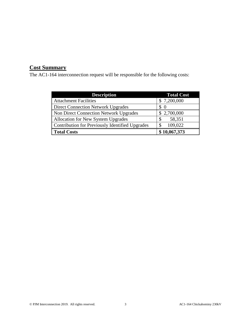# **Cost Summary**

The AC1-164 interconnection request will be responsible for the following costs:

| <b>Description</b>                              | <b>Total Cost</b> |
|-------------------------------------------------|-------------------|
| <b>Attachment Facilities</b>                    | \$7,200,000       |
| <b>Direct Connection Network Upgrades</b>       | $\Omega$          |
| <b>Non Direct Connection Network Upgrades</b>   | \$2,700,000       |
| Allocation for New System Upgrades              | 58,351<br>\$      |
| Contribution for Previously Identified Upgrades | 109,022           |
| <b>Total Costs</b>                              | \$10,067,373      |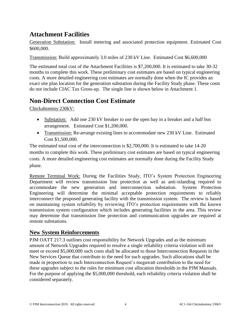# **Attachment Facilities**

Generation Substation: Install metering and associated protection equipment. Estimated Cost \$600,000.

Transmission: Build approximately 3.0 miles of 230 kV Line. Estimated Cost \$6,600,000

The estimated total cost of the Attachment Facilities is \$7,200,000. It is estimated to take 30-32 months to complete this work. These preliminary cost estimates are based on typical engineering costs. A more detailed engineering cost estimates are normally done when the IC provides an exact site plan location for the generation substation during the Facility Study phase. These costs do not include CIAC Tax Gross-up. The single line is shown below in Attachment 1.

# **Non-Direct Connection Cost Estimate**

Chickahominy 230kV:

- Substation: Add one 230 kV breaker to use the open bay in a breaker and a half bus arrangement. Estimated Cost \$1,200,000.
- Transmission: Re-arrange existing lines to accommodate new 230 kV Line. Estimated Cost \$1,500,000.

The estimated total cost of the interconnection is \$2,700,000. It is estimated to take 14-20 months to complete this work. These preliminary cost estimates are based on typical engineering costs. A more detailed engineering cost estimates are normally done during the Facility Study phase.

Remote Terminal Work: During the Facilities Study, ITO's System Protection Engineering Department will review transmission line protection as well as anti-islanding required to accommodate the new generation and interconnection substation. System Protection Engineering will determine the minimal acceptable protection requirements to reliably interconnect the proposed generating facility with the transmission system. The review is based on maintaining system reliability by reviewing ITO's protection requirements with the known transmission system configuration which includes generating facilities in the area. This review may determine that transmission line protection and communication upgrades are required at remote substations.

#### **New System Reinforcements**

PJM OATT 217.3 outlines cost responsibility for Network Upgrades and as the minimum amount of Network Upgrades required to resolve a single reliability criteria violation will not meet or exceed \$5,000,000 such costs shall be allocated to those Interconnection Requests in the New Services Queue that contribute to the need for such upgrades. Such allocations shall be made in proportion to each Interconnection Request's megawatt contribution to the need for these upgrades subject to the rules for minimum cost allocation thresholds in the PJM Manuals. For the purpose of applying the \$5,000,000 threshold, each reliability criteria violation shall be considered separately.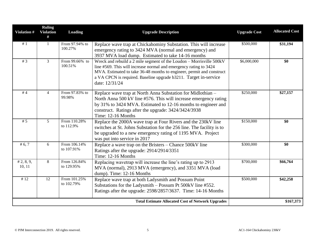| Violation #          | <b>Ruling</b><br><b>Violation</b><br># | Loading                    | <b>Upgrade Description</b>                                                                                                                                                                                                                                                                               | <b>Upgrade Cost</b> | <b>Allocated Cost</b> |
|----------------------|----------------------------------------|----------------------------|----------------------------------------------------------------------------------------------------------------------------------------------------------------------------------------------------------------------------------------------------------------------------------------------------------|---------------------|-----------------------|
| #1                   | $\mathbf{1}$                           | From 97.94% to<br>100.27%  | Replace wave trap at Chickahominy Substation. This will increase<br>emergency rating to 3424 MVA (normal and emergency) and<br>3937 MVA load dump. Estimated to take 14-16 months                                                                                                                        | \$500,000           | \$31,194              |
| # $3$                | $\overline{3}$                         | From 99.66% to<br>100.51%  | Wreck and rebuild a 2 mile segment of the Loudon - Morrisville 500kV<br>line #569. This will increase normal and emergency rating to 3424<br>MVA. Estimated to take 36-48 months to engineer, permit and construct<br>a VA CPCN is required. Baseline upgrade b3211. Target in-service<br>date: 12/31/24 | \$6,000,000         | \$0                   |
| #4                   | $\overline{4}$                         | From 97.83% to<br>99.98%   | Replace wave trap at North Anna Substation for Midlothian –<br>North Anna 500 kV line #576. This will increase emergency rating<br>by 31% to 3424 MVA. Estimated to 12-16 months to engineer and<br>construct. Ratings after the upgrade: 3424/3424/3938<br>Time: 12-16 Months                           | \$250,000           | \$27,157              |
| #5                   | 5                                      | From 110.28%<br>to 112.9%  | Replace the 2000A wave trap at Four Rivers and the 230kV line<br>switches at St. Johns Substation for the 256 line. The facility is to<br>be upgraded to a new emergency rating of 1195 MVA. Project<br>was put into service in 2017                                                                     | \$150,000           | \$0                   |
| # $6, 7$             | 6                                      | From 106.14%<br>to 107.91% | Replace a wave trap on the Bristers - Chance 500kV line<br>Ratings after the upgrade: 2914/2914/3351<br>Time: 12-16 Months                                                                                                                                                                               | \$300,000           | \$0                   |
| # 2, 8, 9,<br>10, 11 | 8                                      | From 126.84%<br>to 129.95% | Replacing wavetrap will increase the line's rating up to 2913<br>MVA (normal), 2913 MVA (emergency), and 3351 MVA (load<br>dump). Time: 12-16 Months                                                                                                                                                     | \$700,000           | \$66,764              |
| #12                  | 12                                     | From 101.25%<br>to 102.79% | Replace wave trap at both Ladysmith and Possum Point<br>Substations for the Ladysmith - Possum Pt 500kV line #552.<br>Ratings after the upgrade: 2598/2857/3637. Time: 14-16 Months                                                                                                                      | \$500,000           | \$42,258              |
|                      |                                        |                            | <b>Total Estimate Allocated Cost of Network Upgrades</b>                                                                                                                                                                                                                                                 |                     | \$167,373             |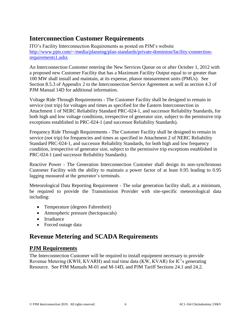# **Interconnection Customer Requirements**

ITO's Facility Interconnection Requirements as posted on PJM's website [http://www.pjm.com/~/media/planning/plan-standards/private-dominion/facility-connection](http://www.pjm.com/~/media/planning/plan-standards/private-dominion/facility-connection-requirements1.ashx)[requirements1.ashx](http://www.pjm.com/~/media/planning/plan-standards/private-dominion/facility-connection-requirements1.ashx)

An Interconnection Customer entering the New Services Queue on or after October 1, 2012 with a proposed new Customer Facility that has a Maximum Facility Output equal to or greater than 100 MW shall install and maintain, at its expense, phasor measurement units (PMUs). See Section 8.5.3 of Appendix 2 to the Interconnection Service Agreement as well as section 4.3 of PJM Manual 14D for additional information.

Voltage Ride Through Requirements - The Customer Facility shall be designed to remain in service (not trip) for voltages and times as specified for the Eastern Interconnection in Attachment 1 of NERC Reliability Standard PRC-024-1, and successor Reliability Standards, for both high and low voltage conditions, irrespective of generator size, subject to the permissive trip exceptions established in PRC-024-1 (and successor Reliability Standards).

Frequency Ride Through Requirements - The Customer Facility shall be designed to remain in service (not trip) for frequencies and times as specified in Attachment 2 of NERC Reliability Standard PRC-024-1, and successor Reliability Standards, for both high and low frequency condition, irrespective of generator size, subject to the permissive trip exceptions established in PRC-024-1 (and successor Reliability Standards).

Reactive Power - The Generation Interconnection Customer shall design its non-synchronous Customer Facility with the ability to maintain a power factor of at least 0.95 leading to 0.95 lagging measured at the generator's terminals.

Meteorological Data Reporting Requirement - The solar generation facility shall, at a minimum, be required to provide the Transmission Provider with site-specific meteorological data including:

- Temperature (degrees Fahrenheit)
- Atmospheric pressure (hectopascals)
- Irradiance
- Forced outage data

# **Revenue Metering and SCADA Requirements**

#### **PJM Requirements**

The Interconnection Customer will be required to install equipment necessary to provide Revenue Metering (KWH, KVARH) and real time data (KW, KVAR) for IC's generating Resource. See PJM Manuals M-01 and M-14D, and PJM Tariff Sections 24.1 and 24.2.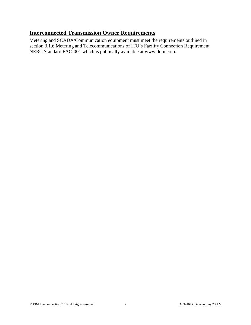## **Interconnected Transmission Owner Requirements**

Metering and SCADA/Communication equipment must meet the requirements outlined in section 3.1.6 Metering and Telecommunications of ITO's Facility Connection Requirement NERC Standard FAC-001 which is publically available at www.dom.com.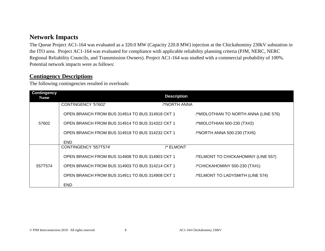# **Network Impacts**

The Queue Project AC1-164 was evaluated as a 320.0 MW (Capacity 220.8 MW) injection at the Chickahominy 230kV substation in the ITO area. Project AC1-164 was evaluated for compliance with applicable reliability planning criteria (PJM, NERC, NERC Regional Reliability Councils, and Transmission Owners). Project AC1-164 was studied with a commercial probability of 100%. Potential network impacts were as follows:

#### **Contingency Descriptions**

The following contingencies resulted in overloads:

| <b>Contingency</b><br>Name |                                                 | <b>Description</b> |                                       |
|----------------------------|-------------------------------------------------|--------------------|---------------------------------------|
|                            | CONTINGENCY '57602'                             | /*NORTH ANNA       |                                       |
|                            | OPEN BRANCH FROM BUS 314914 TO BUS 314918 CKT 1 |                    | /*MIDLOTHIAN TO NORTH ANNA (LINE 576) |
| 57602                      | OPEN BRANCH FROM BUS 314914 TO BUS 314322 CKT 1 |                    | /*MIDLOTHIAN 500-230 (TX#2)           |
|                            | OPEN BRANCH FROM BUS 314918 TO BUS 314232 CKT 1 |                    | /*NORTH ANNA 500-230 (TX#5)           |
|                            | <b>END</b>                                      |                    |                                       |
|                            | CONTINGENCY '557T574'                           | /* ELMONT          |                                       |
|                            | OPEN BRANCH FROM BUS 314908 TO BUS 314903 CKT 1 |                    | /*ELMONT TO CHICKAHOMINY (LINE 557)   |
| 557T574                    | OPEN BRANCH FROM BUS 314903 TO BUS 314214 CKT 1 |                    | /*CHICKAHOMINY 500-230 (TX#1)         |
|                            | OPEN BRANCH FROM BUS 314911 TO BUS 314908 CKT 1 |                    | /*ELMONT TO LADYSMITH (LINE 574)      |
|                            | <b>END</b>                                      |                    |                                       |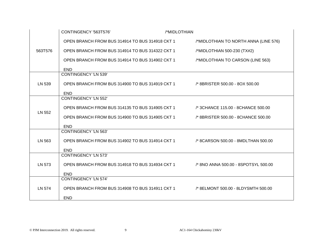|         | CONTINGENCY '563T576'                                                                | /*MIDLOTHIAN |                                       |
|---------|--------------------------------------------------------------------------------------|--------------|---------------------------------------|
|         | OPEN BRANCH FROM BUS 314914 TO BUS 314918 CKT 1                                      |              | /*MIDLOTHIAN TO NORTH ANNA (LINE 576) |
| 563T576 | OPEN BRANCH FROM BUS 314914 TO BUS 314322 CKT 1                                      |              | /*MIDLOTHIAN 500-230 (TX#2)           |
|         | OPEN BRANCH FROM BUS 314914 TO BUS 314902 CKT 1                                      |              | /*MIDLOTHIAN TO CARSON (LINE 563)     |
|         | <b>END</b>                                                                           |              |                                       |
|         | <b>CONTINGENCY 'LN 539'</b>                                                          |              |                                       |
| LN 539  | OPEN BRANCH FROM BUS 314900 TO BUS 314919 CKT 1 /* 8BRISTER 500.00 - 8OX 500.00      |              |                                       |
|         | <b>END</b>                                                                           |              |                                       |
|         | <b>CONTINGENCY 'LN 552'</b>                                                          |              |                                       |
| LN 552  | OPEN BRANCH FROM BUS 314135 TO BUS 314905 CKT 1                                      |              | /* 3CHANCE 115.00 - 8CHANCE 500.00    |
|         | OPEN BRANCH FROM BUS 314900 TO BUS 314905 CKT 1 /* 8BRISTER 500.00 - 8CHANCE 500.00  |              |                                       |
|         | <b>END</b>                                                                           |              |                                       |
|         | <b>CONTINGENCY 'LN 563'</b>                                                          |              |                                       |
| LN 563  | OPEN BRANCH FROM BUS 314902 TO BUS 314914 CKT 1 /* 8CARSON 500.00 - 8MDLTHAN 500.00  |              |                                       |
|         | <b>END</b>                                                                           |              |                                       |
|         | <b>CONTINGENCY 'LN 573'</b>                                                          |              |                                       |
| LN 573  | OPEN BRANCH FROM BUS 314918 TO BUS 314934 CKT 1 /* 8NO ANNA 500.00 - 8SPOTSYL 500.00 |              |                                       |
|         | <b>END</b>                                                                           |              |                                       |
|         | <b>CONTINGENCY 'LN 574'</b>                                                          |              |                                       |
| LN 574  | OPEN BRANCH FROM BUS 314908 TO BUS 314911 CKT 1 /* 8ELMONT 500.00 - 8LDYSMTH 500.00  |              |                                       |
|         | <b>END</b>                                                                           |              |                                       |

#### © PJM Interconnection 2019. All rights reserved. 9 AC1-164 Chickahominy 230kV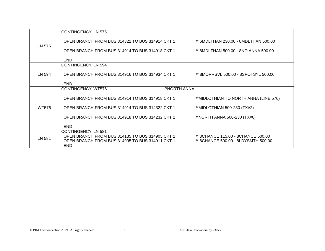|              | CONTINGENCY 'LN 576'                                                                                                                     |                                                                           |
|--------------|------------------------------------------------------------------------------------------------------------------------------------------|---------------------------------------------------------------------------|
|              | OPEN BRANCH FROM BUS 314322 TO BUS 314914 CKT 1                                                                                          | /* 6MDLTHAN 230.00 - 8MDLTHAN 500.00                                      |
| LN 576       | OPEN BRANCH FROM BUS 314914 TO BUS 314918 CKT 1                                                                                          | /* 8MDLTHAN 500.00 - 8NO ANNA 500.00                                      |
|              | <b>END</b>                                                                                                                               |                                                                           |
|              | <b>CONTINGENCY 'LN 594'</b>                                                                                                              |                                                                           |
| LN 594       | OPEN BRANCH FROM BUS 314916 TO BUS 314934 CKT 1 /* 8MORRSVL 500.00 - 8SPOTSYL 500.00                                                     |                                                                           |
|              | <b>END</b>                                                                                                                               |                                                                           |
|              | /*NORTH ANNA<br><b>CONTINGENCY 'WT576'</b>                                                                                               |                                                                           |
|              | OPEN BRANCH FROM BUS 314914 TO BUS 314918 CKT 1                                                                                          | /*MIDLOTHIAN TO NORTH ANNA (LINE 576)                                     |
| <b>WT576</b> | OPEN BRANCH FROM BUS 314914 TO BUS 314322 CKT 1                                                                                          | /*MIDLOTHIAN 500-230 (TX#2)                                               |
|              | OPEN BRANCH FROM BUS 314918 TO BUS 314232 CKT 2                                                                                          | /*NORTH ANNA 500-230 (TX#6)                                               |
|              | <b>END</b>                                                                                                                               |                                                                           |
| LN 581       | CONTINGENCY 'LN 581'<br>OPEN BRANCH FROM BUS 314135 TO BUS 314905 CKT 2<br>OPEN BRANCH FROM BUS 314905 TO BUS 314911 CKT 1<br><b>END</b> | /* 3CHANCE 115.00 - 8CHANCE 500.00<br>/* 8CHANCE 500.00 - 8LDYSMTH 500.00 |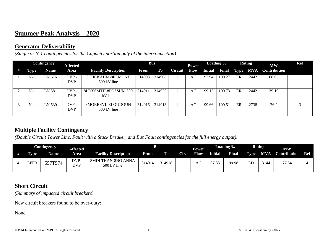# **Summer Peak Analysis – 2020**

## **Generator Deliverability**

*(Single or N-1 contingencies for the Capacity portion only of the interconnection)*

|       | <b>Contingency</b> | <b>Affected</b>       |                                            |        | <b>Bus</b> |                | <b>Power</b> |                | <b>Loading %</b> | <b>Rating</b> |            | <b>MW</b>    | Ref          |
|-------|--------------------|-----------------------|--------------------------------------------|--------|------------|----------------|--------------|----------------|------------------|---------------|------------|--------------|--------------|
| Type  | Name               | Area                  | <b>Facility Description</b>                | From   | To         | <b>Circuit</b> | <b>Flow</b>  | <b>Initial</b> | <b>Final</b>     | <b>Type</b>   | <b>MVA</b> | Contribution |              |
| $N-1$ | LN 576             | $DVP -$<br><b>DVP</b> | 8CHCKAHM-8ELMONT<br>$500 \text{ kV}$ line  | 314903 | 314908     |                | AC           | 97.94          | 100.27           | ER            | 2442       | 68.05        |              |
| $N-1$ | LN 581             | DVP-<br><b>DVP</b>    | <b>8LDYSMTH-8POSSUM 500</b><br>kV line     | 314911 | 314922     |                | AC           | 99.12          | 100.73           | ER            | 2442       | 39.19        |              |
| $N-1$ | LN 539             | DVP-<br><b>DVP</b>    | 8MORRSVL-8LOUDOUN<br>$500 \text{ kV}$ line | 314916 | 314913     |                | AC           | 99.66          | 100.51           | ER            | 2738       | 26.2         | $\mathbf{r}$ |

## **Multiple Facility Contingency**

*(Double Circuit Tower Line, Fault with a Stuck Breaker, and Bus Fault contingencies for the full energy output)*.

|             | Contingency | <b>Affected</b>    |                                  |        | <b>Bus</b> |      | Power |                | Loading %    |      | <b>Rating</b> | <b>MW</b>           |     |
|-------------|-------------|--------------------|----------------------------------|--------|------------|------|-------|----------------|--------------|------|---------------|---------------------|-----|
| <b>Type</b> | Name        | Area               | <b>Facility Description</b>      | From   | To.        | Cir. | Flow  | <b>Initial</b> | <b>Final</b> | Type | MVA           | <b>Contribution</b> | Ref |
| LFFE        | 557T574     | DVP-<br><b>DVP</b> | 8MDLTHAN-8NO ANNA<br>500 kV line | 314914 | 314918     |      | AC    | 97.83          | 99.98        | பட   | 3144          | 77.54               |     |

## **Short Circuit**

*(Summary of impacted circuit breakers)*

New circuit breakers found to be over-duty:

None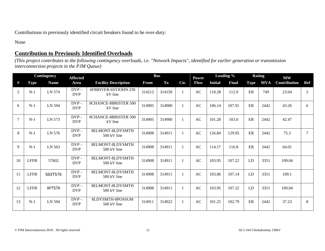Contributions to previously identified circuit breakers found to be over-duty:

None

# **Contribution to Previously Identified Overloads**

*(This project contributes to the following contingency overloads, i.e. "Network Impacts", identified for earlier generation or transmission interconnection projects in the PJM Queue)*

|    | Contingency |              | <b>Affected</b>       |                                           | <b>Bus</b> |        |              | Power       | Loading %      |              | <b>Rating</b> |            | $\mathbf{M}\mathbf{W}$ |            |
|----|-------------|--------------|-----------------------|-------------------------------------------|------------|--------|--------------|-------------|----------------|--------------|---------------|------------|------------------------|------------|
| #  | <b>Type</b> | <b>Name</b>  | Area                  | <b>Facility Description</b>               | From       | To     | Cir.         | <b>Flow</b> | <b>Initial</b> | <b>Final</b> | <b>Type</b>   | <b>MVA</b> | Contribution           | <b>Ref</b> |
| 5  | $N-1$       | LN 574       | DVP-<br><b>DVP</b>    | 6FRRIVER-6STJOHN 230<br>kV line           | 314212     | 314150 | $\mathbf{1}$ | AC          | 110.28         | 112.9        | ER            | 749        | 23.04                  | 5          |
| 6  | $N-1$       | LN 594       | DVP-<br><b>DVP</b>    | 8CHANCE-8BRISTER 500<br>kV line           | 314905     | 314900 | 1            | AC          | 106.14         | 107.91       | ER            | 2442       | 43.26                  | 6          |
|    | $N-1$       | LN 573       | $DVP -$<br><b>DVP</b> | <b>8CHANCE-8BRISTER 500</b><br>kV line    | 314905     | 314900 | 1            | AC          | 101.28         | 103.0        | ER            | 2442       | 42.47                  |            |
| 8  | $N-1$       | LN 576       | DVP-<br><b>DVP</b>    | 8ELMONT-8LDYSMTH<br>$500 \text{ kV}$ line | 314908     | 314911 | 1            | AC          | 126.84         | 129.95       | ER            | 2442       | 75.3                   | $\tau$     |
| 9  | $N-1$       | LN 563       | DVP-<br><b>DVP</b>    | 8ELMONT-8LDYSMTH<br>500 kV line           | 314908     | 314911 | $\mathbf{1}$ | AC          | 114.17         | 116.8        | ER            | 2442       | 64.01                  |            |
| 10 | <b>LFFB</b> | 57602        | DVP-<br><b>DVP</b>    | 8ELMONT-8LDYSMTH<br>500 kV line           | 314908     | 314911 | 1            | <b>AC</b>   | 103.95         | 107.22       | LD            | 3351       | 109.04                 |            |
| 11 | <b>LFFB</b> | 563T576      | $DVP -$<br><b>DVP</b> | 8ELMONT-8LDYSMTH<br>500 kV line           | 314908     | 314911 | $\mathbf{1}$ | AC          | 103.86         | 107.14       | LD            | 3351       | 109.1                  |            |
| 12 | <b>LFFB</b> | <b>WT576</b> | DVP-<br><b>DVP</b>    | 8ELMONT-8LDYSMTH<br>$500 \text{ kV}$ line | 314908     | 314911 | $\mathbf{1}$ | AC          | 103.95         | 107.22       | LD            | 3351       | 109.04                 |            |
| 13 | $N-1$       | LN 594       | DVP-<br><b>DVP</b>    | 8LDYSMTH-8POSSUM<br>500 kV line           | 314911     | 314922 | 1            | AC          | 101.25         | 102.79       | ER            | 2442       | 37.23                  | 8          |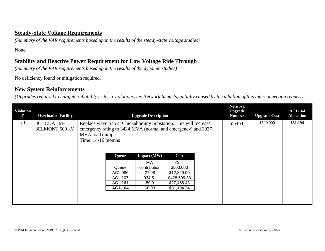#### **Steady-State Voltage Requirements**

*(Summary of the VAR requirements based upon the results of the steady-state voltage studies)*

None

### **Stability and Reactive Power Requirement for Low Voltage Ride Through**

*(Summary of the VAR requirements based upon the results of the dynamic studies)*

No deficiency found or mitigation required.

#### **New System Reinforcements**

*(Upgrades required to mitigate reliability criteria violations, i.e. Network Impacts, initially caused by the addition of this interconnection request)*

| <b>Violation</b><br># | <b>Overloaded Facility</b>         |                                      |         | <b>Upgrade Description</b>                                                                                                       |              | <b>Network</b><br><b>Upgrade</b><br><b>Number</b> | <b>Upgrade Cost</b> | <b>AC1-164</b><br><b>Allocation</b> |
|-----------------------|------------------------------------|--------------------------------------|---------|----------------------------------------------------------------------------------------------------------------------------------|--------------|---------------------------------------------------|---------------------|-------------------------------------|
| #1                    | 8CHCKAHM-<br><b>8ELMONT 500 kV</b> | MVA load dump.<br>Time: 14-16 months |         | Replace wave trap at Chickahominy Substation. This will increase<br>emergency rating to 3424 MVA (normal and emergency) and 3937 |              | n5464                                             | \$500,000           | \$31,194                            |
|                       |                                    |                                      | Queue   | <b>Impact</b> (MW)                                                                                                               | Cost         |                                                   |                     |                                     |
|                       |                                    |                                      |         | MW                                                                                                                               | Cost         |                                                   |                     |                                     |
|                       |                                    |                                      | Queue   | contribution                                                                                                                     | \$500,000    |                                                   |                     |                                     |
|                       |                                    |                                      | AC1-086 | 27.98                                                                                                                            | \$12,829.90  |                                                   |                     |                                     |
|                       |                                    |                                      | AC1-107 | 934.51                                                                                                                           | \$428,509.33 |                                                   |                     |                                     |
|                       |                                    |                                      | AC1-161 | 59.9                                                                                                                             | \$27,466.43  |                                                   |                     |                                     |
|                       |                                    |                                      | AC1-164 | 68.03                                                                                                                            | \$31,194.34  |                                                   |                     |                                     |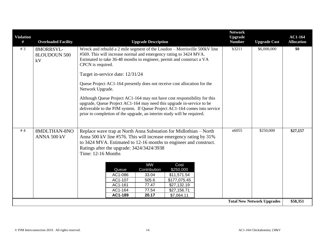| b3211<br># $3$<br>Wreck and rebuild a 2 mile segment of the Loudon - Morrisville 500kV line<br>\$6,000,000<br>8MORRSVL-<br>#569. This will increase normal and emergency rating to 3424 MVA.<br>8LOUDOUN 500<br>Estimated to take 36-48 months to engineer, permit and construct a VA<br>kV<br>CPCN is required.<br>Target in-service date: 12/31/24<br>Queue Project AC1-164 presently does not receive cost allocation for the<br>Network Upgrade.<br>Although Queue Project AC1-164 may not have cost responsibility for this | <b>Violation</b><br># | <b>Overloaded Facility</b> | <b>Upgrade Description</b>                                            | <b>Network</b><br><b>Upgrade</b><br><b>Number</b> | <b>Upgrade Cost</b> | <b>AC1-164</b><br><b>Allocation</b> |
|----------------------------------------------------------------------------------------------------------------------------------------------------------------------------------------------------------------------------------------------------------------------------------------------------------------------------------------------------------------------------------------------------------------------------------------------------------------------------------------------------------------------------------|-----------------------|----------------------------|-----------------------------------------------------------------------|---------------------------------------------------|---------------------|-------------------------------------|
|                                                                                                                                                                                                                                                                                                                                                                                                                                                                                                                                  |                       |                            |                                                                       |                                                   |                     | \$0                                 |
|                                                                                                                                                                                                                                                                                                                                                                                                                                                                                                                                  |                       |                            |                                                                       |                                                   |                     |                                     |
| deliverable to the PJM system. If Queue Project AC1-164 comes into service<br>prior to completion of the upgrade, an interim study will be required.                                                                                                                                                                                                                                                                                                                                                                             |                       |                            | upgrade, Queue Project AC1-164 may need this upgrade in-service to be |                                                   |                     |                                     |
| #4<br>n6055<br>\$250,000<br>8MDLTHAN-8NO<br>Replace wave trap at North Anna Substation for Midlothian - North<br>Anna 500 kV line #576. This will increase emergency rating by 31%<br>ANNA 500 kV<br>to 3424 MVA. Estimated to 12-16 months to engineer and construct.<br>Ratings after the upgrade: 3424/3424/3938<br>Time: 12-16 Months                                                                                                                                                                                        |                       |                            |                                                                       |                                                   |                     | \$27,157                            |
| <b>MW</b><br>Cost<br>Queue<br>Contribution<br>\$250,000<br>AC1-086<br>\$11,571.54<br>33.04<br>AC1-107<br>505.6<br>\$177,075.45<br>\$27,132.19<br>AC1-161<br>77.47<br>AC1-164<br>77.54<br>\$27,156.71                                                                                                                                                                                                                                                                                                                             |                       |                            |                                                                       |                                                   |                     |                                     |
| AC1-189<br>20.17<br>\$7,064.11<br><b>Total New Network Upgrades</b>                                                                                                                                                                                                                                                                                                                                                                                                                                                              |                       |                            |                                                                       |                                                   |                     | \$58,351                            |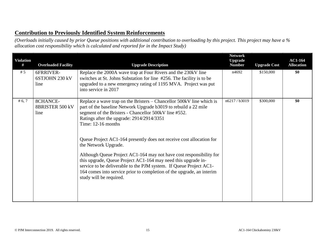#### **Contribution to Previously Identified System Reinforcements**

*(Overloads initially caused by prior Queue positions with additional contribution to overloading by this project. This project may have a % allocation cost responsibility which is calculated and reported for in the Impact Study)*

| <b>Violation</b><br># | <b>Overloaded Facility</b>          | <b>Upgrade Description</b>                                                                                                                                                                                                                                                                                                                                                                                                                                                                                                                                                                                                                                                              | <b>Network</b><br><b>Upgrade</b><br><b>Number</b> | <b>Upgrade Cost</b> | <b>AC1-164</b><br><b>Allocation</b> |
|-----------------------|-------------------------------------|-----------------------------------------------------------------------------------------------------------------------------------------------------------------------------------------------------------------------------------------------------------------------------------------------------------------------------------------------------------------------------------------------------------------------------------------------------------------------------------------------------------------------------------------------------------------------------------------------------------------------------------------------------------------------------------------|---------------------------------------------------|---------------------|-------------------------------------|
| # $5$                 | 6FRRIVER-<br>6STJOHN 230 kV<br>line | Replace the 2000A wave trap at Four Rivers and the 230kV line<br>switches at St. Johns Substation for line #256. The facility is to be<br>upgraded to a new emergency rating of 1195 MVA. Project was put<br>into service in 2017                                                                                                                                                                                                                                                                                                                                                                                                                                                       | n4692                                             | \$150,000           | \$0                                 |
| # 6, 7                | 8CHANCE-<br>8BRISTER 500 kV<br>line | Replace a wave trap on the Bristers – Chancellor 500kV line which is<br>part of the baseline Network Upgrade b3019 to rebuild a 22 mile<br>segment of the Bristers - Chancellor 500kV line #552.<br>Ratings after the upgrade: 2914/2914/3351<br>Time: $12-16$ months<br>Queue Project AC1-164 presently does not receive cost allocation for<br>the Network Upgrade.<br>Although Queue Project AC1-164 may not have cost responsibility for<br>this upgrade, Queue Project AC1-164 may need this upgrade in-<br>service to be deliverable to the PJM system. If Queue Project AC1-<br>164 comes into service prior to completion of the upgrade, an interim<br>study will be required. | n6217/b3019                                       | \$300,000           | \$0                                 |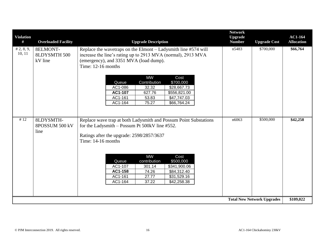| <b>Violation</b><br># | <b>Overloaded Facility</b>                 | <b>Upgrade Description</b>                                                                                                                                                                                                                                                                                                                                                                              | <b>Network</b><br><b>Upgrade</b><br><b>Number</b> | <b>Upgrade Cost</b>               | <b>AC1-164</b><br><b>Allocation</b> |
|-----------------------|--------------------------------------------|---------------------------------------------------------------------------------------------------------------------------------------------------------------------------------------------------------------------------------------------------------------------------------------------------------------------------------------------------------------------------------------------------------|---------------------------------------------------|-----------------------------------|-------------------------------------|
| # 2, 8, 9,<br>10, 11  | 8ELMONT-<br><b>8LDYSMTH 500</b><br>kV line | Replace the wavetraps on the Elmont - Ladysmith line #574 will<br>increase the line's rating up to 2913 MVA (normal), 2913 MVA<br>(emergency), and 3351 MVA (load dump).<br>Time: 12-16 months<br><b>MW</b><br>Cost<br>Contribution<br>\$700,000<br>Queue<br>\$28,667.73<br>AC1-086<br>32.32<br>AC1-107<br>627.76<br>\$556,821.00<br>AC1-161<br>53.83<br>\$47,747.03<br>AC1-164<br>75.27<br>\$66,764.24 | n5483                                             | \$700,000                         | \$66,764                            |
| #12                   | 8LDYSMTH-<br>8POSSUM 500 kV<br>line        | Replace wave trap at both Ladysmith and Possum Point Substations<br>for the Ladysmith - Possum Pt 500kV line #552.<br>Ratings after the upgrade: 2598/2857/3637<br>Time: 14-16 months<br><b>MW</b><br>Cost<br>Queue<br>contribution<br>\$500,000<br>AC1-107<br>301.14<br>\$341,900.06<br>AC1-158<br>74.26<br>\$84,312.40<br>AC1-161<br>27.77<br>\$31,529.16<br>AC1-164<br>37.22<br>\$42,258.38          | n6063                                             | \$500,000                         | \$42,258                            |
|                       |                                            |                                                                                                                                                                                                                                                                                                                                                                                                         |                                                   | <b>Total New Network Upgrades</b> | \$109,022                           |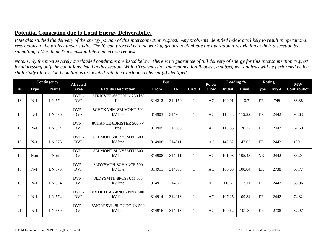## **Potential Congestion due to Local Energy Deliverability**

*PJM also studied the delivery of the energy portion of this interconnection request. Any problems identified below are likely to result in operational restrictions to the project under study. The IC can proceed with network upgrades to eliminate the operational restriction at their discretion by submitting a Merchant Transmission Interconnection request.*

*Note: Only the most severely overloaded conditions are listed below. There is no guarantee of full delivery of energy for this interconnection request by addressing only the conditions listed in this section. With a Transmission Interconnection Request, a subsequent analysis will be performed which shall study all overload conditions associated with the overloaded element(s) identified.* 

|    |             | <b>Contingency</b> | <b>Affected</b>       |                                        |        | <b>Bus</b> |                | <b>Power</b> | Loading %      |              | <b>Rating</b> |            | $\mathbf{M}\mathbf{W}$ |
|----|-------------|--------------------|-----------------------|----------------------------------------|--------|------------|----------------|--------------|----------------|--------------|---------------|------------|------------------------|
| #  | <b>Type</b> | <b>Name</b>        | Area                  | <b>Facility Description</b>            | From   | To         | <b>Circuit</b> | Flow         | <b>Initial</b> | <b>Final</b> | <b>Type</b>   | <b>MVA</b> | Contribution           |
| 13 | $N-1$       | LN 574             | DVP-<br><b>DVP</b>    | 6FRRIVER-6STJOHN 230 kV<br>line        | 314212 | 314150     |                | <b>AC</b>    | 109.91         | 113.7        | ER            | 749        | 33.38                  |
| 14 | $N-1$       | LN 576             | DVP-<br><b>DVP</b>    | <b>8CHCKAHM-8ELMONT 500</b><br>kV line | 314903 | 314908     |                | AC           | 115.83         | 119.22       | ER            | 2442       | 98.63                  |
| 15 | $N-1$       | LN 594             | DVP-<br><b>DVP</b>    | 8CHANCE-8BRISTER 500 kV<br>line        | 314905 | 314900     |                | <b>AC</b>    | 118.55         | 120.77       | ER            | 2442       | 62.69                  |
| 16 | $N-1$       | LN 576             | DVP-<br><b>DVP</b>    | <b>8ELMONT-8LDYSMTH 500</b><br>kV line | 314908 | 314911     |                | <b>AC</b>    | 142.52         | 147.02       | ER            | 2442       | 109.1                  |
| 17 | Non         | Non                | DVP-<br><b>DVP</b>    | 8ELMONT-8LDYSMTH 500<br>kV line        | 314908 | 314911     | 1              | <b>AC</b>    | 101.93         | 105.43       | <b>NR</b>     | 2442       | 86.24                  |
| 18 | $N-1$       | LN 573             | $DVP -$<br><b>DVP</b> | 8LDYSMTH-8CHANCE 500<br>kV line        | 314911 | 314905     |                | AC           | 106.03         | 108.04       | ER            | 2738       | 63.77                  |
| 19 | $N-1$       | LN 594             | $DVP -$<br><b>DVP</b> | 8LDYSMTH-8POSSUM 500<br>kV line        | 314911 | 314922     |                | AC           | 110.2          | 112.11       | ER            | 2442       | 53.96                  |
| 20 | $N-1$       | LN 574             | DVP-<br><b>DVP</b>    | 8MDLTHAN-8NO ANNA 500<br>kV line       | 314914 | 314918     |                | AC           | 107.25         | 109.84       | ER            | 2442       | 74.32                  |
| 21 | $N-1$       | LN 539             | DVP-<br><b>DVP</b>    | 8MORRSVL-8LOUDOUN 500<br>kV line       | 314916 | 314913     |                | AC           | 100.62         | 101.8        | ER            | 2738       | 37.97                  |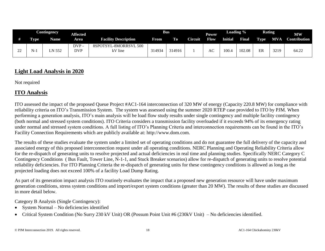|              |             | <b>Contingency</b> | Affected           |                                  |        | <b>Bus</b> |                | Power |         | Loading % | <b>Rating</b> |            | <b>MW</b>           |
|--------------|-------------|--------------------|--------------------|----------------------------------|--------|------------|----------------|-------|---------|-----------|---------------|------------|---------------------|
|              | <b>Type</b> | Name.              | Area               | <b>Facility Description</b>      | From   | <b>To</b>  | <b>Circuit</b> | Flow  | Initial | Final     | Type          | <b>MVA</b> | <b>Contribution</b> |
| $\sim$<br>-- |             | N 552              | DVP-<br><b>DVP</b> | 8SPOTSYL-8MORRSVL 500<br>kV line | 314934 | 14916      |                | АC    | 100.4   | 102.08    | ER            | 3219       | 64.22               |

## **Light Load Analysis in 2020**

Not required

## **ITO Analysis**

ITO assessed the impact of the proposed Queue Project #AC1-164 interconnection of 320 MW of energy (Capacity 220.8 MW) for compliance with reliability criteria on ITO's Transmission System. The system was assessed using the summer 2020 RTEP case provided to ITO by PJM. When performing a generation analysis, ITO's main analysis will be load flow study results under single contingency and multiple facility contingency (both normal and stressed system conditions). ITO Criteria considers a transmission facility overloaded if it exceeds 94% of its emergency rating under normal and stressed system conditions. A full listing of ITO's Planning Criteria and interconnection requirements can be found in the ITO's Facility Connection Requirements which are publicly available at: [http://www.dom.com.](http://www.dom.com/)

The results of these studies evaluate the system under a limited set of operating conditions and do not guarantee the full delivery of the capacity and associated energy of this proposed interconnection request under all operating conditions. NERC Planning and Operating Reliability Criteria allow for the re-dispatch of generating units to resolve projected and actual deficiencies in real time and planning studies. Specifically NERC Category C Contingency Conditions ( Bus Fault, Tower Line, N-1-1, and Stuck Breaker scenarios) allow for re-dispatch of generating units to resolve potential reliability deficiencies. For ITO Planning Criteria the re-dispatch of generating units for these contingency conditions is allowed as long as the projected loading does not exceed 100% of a facility Load Dump Rating.

As part of its generation impact analysis ITO routinely evaluates the impact that a proposed new generation resource will have under maximum generation conditions, stress system conditions and import/export system conditions (greater than 20 MW). The results of these studies are discussed in more detail below.

Category B Analysis (Single Contingency):

- System Normal No deficiencies identified
- Critical System Condition (No Surry 230 kV Unit) OR (Possum Point Unit #6 (230kV Unit) No deficiencies identified.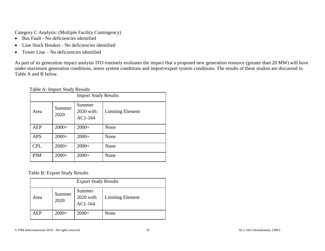Category C Analysis: (Multiple Facility Contingency)

- Bus Fault No deficiencies identified
- Line Stuck Breaker No deficiencies identified
- Tower Line No deficiencies identified

As part of its generation impact analysis ITO routinely evaluates the impact that a proposed new generation resource (greater than 20 MW) will have under maximum generation conditions, stress system conditions and import/export system conditions. The results of these studies are discussed in Table A and B below.

#### Table A: Import Study Results

| <b>Import Study Results</b> |                |                                  |                         |  |
|-----------------------------|----------------|----------------------------------|-------------------------|--|
| Area                        | Summer<br>2020 | Summer<br>2020 with<br>$AC1-164$ | <b>Limiting Element</b> |  |
| <b>AEP</b>                  | $2000+$        | $2000+$                          | None                    |  |
| <b>APS</b>                  | $2000+$        | $2000+$                          | None                    |  |
| <b>CPL</b>                  | $2000+$        | $2000+$                          | None                    |  |
| <b>PJM</b>                  | $2000+$        | $2000+$                          | None                    |  |

Table B: Export Study Results

| <b>Export Study Results</b> |                |                                    |                         |  |  |
|-----------------------------|----------------|------------------------------------|-------------------------|--|--|
| Area                        | Summer<br>2020 | Summer<br>$2020$ with<br>$AC1-164$ | <b>Limiting Element</b> |  |  |
| AEP                         | $2000+$        | $2000+$                            | None                    |  |  |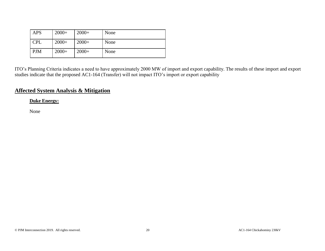| <b>APS</b> | $2000+$ | $2000+$ | None |
|------------|---------|---------|------|
| <b>CPL</b> | $2000+$ | $2000+$ | None |
| <b>PJM</b> | $2000+$ | $2000+$ | None |

ITO's Planning Criteria indicates a need to have approximately 2000 MW of import and export capability. The results of these import and export studies indicate that the proposed AC1-164 (Transfer) will not impact ITO's import or export capability

## **Affected System Analysis & Mitigation**

**Duke Energy:**

None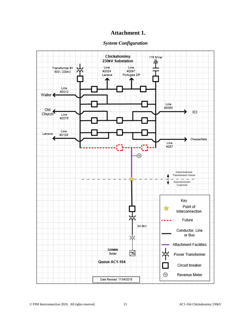#### **Attachment 1.**

#### *System Configuration*

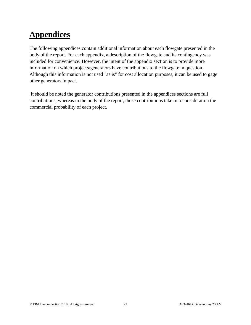# **Appendices**

The following appendices contain additional information about each flowgate presented in the body of the report. For each appendix, a description of the flowgate and its contingency was included for convenience. However, the intent of the appendix section is to provide more information on which projects/generators have contributions to the flowgate in question. Although this information is not used "as is" for cost allocation purposes, it can be used to gage other generators impact.

It should be noted the generator contributions presented in the appendices sections are full contributions, whereas in the body of the report, those contributions take into consideration the commercial probability of each project.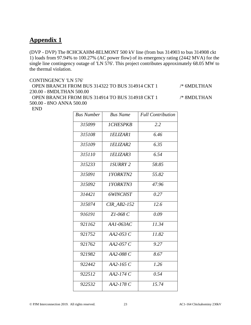(DVP - DVP) The 8CHCKAHM-8ELMONT 500 kV line (from bus 314903 to bus 314908 ckt 1) loads from 97.94% to 100.27% (AC power flow) of its emergency rating (2442 MVA) for the single line contingency outage of 'LN 576'. This project contributes approximately 68.05 MW to the thermal violation.

#### CONTINGENCY 'LN 576'

 OPEN BRANCH FROM BUS 314322 TO BUS 314914 CKT 1 /\* 6MDLTHAN 230.00 - 8MDLTHAN 500.00 OPEN BRANCH FROM BUS 314914 TO BUS 314918 CKT 1 /\* 8MDLTHAN

500.00 - 8NO ANNA 500.00

END

| <b>Bus Number</b> | <b>Bus Name</b>        | <b>Full Contribution</b> |
|-------------------|------------------------|--------------------------|
| 315099            | <i><b>ICHESPKB</b></i> | 2.2                      |
| 315108            | <b>IELIZAR1</b>        | 6.46                     |
| 315109            | <i>IELIZAR2</i>        | 6.35                     |
| 315110            | <i>IELIZAR3</i>        | 6.54                     |
| 315233            | <b>ISURRY 2</b>        | 58.85                    |
| 315091            | <b>IYORKTN2</b>        | 55.82                    |
| 315092            | <b>IYORKTN3</b>        | 47.96                    |
| 314421            | 6WINCHST               | 0.27                     |
| 315074            | <b>CIR AB2-152</b>     | 12.6                     |
| 916191            | Z1-068 C               | 0.09                     |
| 921162            | $AA1-063AC$            | 11.34                    |
| 921752            | $AA2-053C$             | 11.82                    |
| 921762            | $AA2-057C$             | 9.27                     |
| 921982            | AA2-088 C              | 8.67                     |
| 922442            | $AA2-165C$             | 1.26                     |
| 922512            | AA2-174 C              | 0.54                     |
| 922532            | AA2-178 C              | 15.74                    |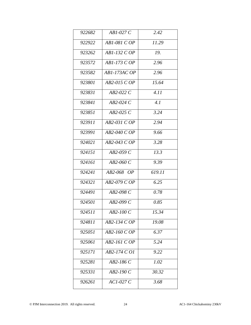| 922682 | $AB1-027C$   | 2.42   |
|--------|--------------|--------|
| 922922 | AB1-081 C OP | 11.29  |
| 923262 | AB1-132 C OP | 19.    |
| 923572 | AB1-173 C OP | 2.96   |
| 923582 | AB1-173AC OP | 2.96   |
| 923801 | AB2-015 C OP | 15.64  |
| 923831 | AB2-022 C    | 4.11   |
| 923841 | $AB2-024C$   | 4.1    |
| 923851 | $AB2-025C$   | 3.24   |
| 923911 | AB2-031 C OP | 2.94   |
| 923991 | AB2-040 C OP | 9.66   |
| 924021 | AB2-043 C OP | 3.28   |
| 924151 | $AB2-059C$   | 13.3   |
| 924161 | AB2-060 C    | 9.39   |
| 924241 | AB2-068 OP   | 619.11 |
| 924321 | AB2-079 C OP | 6.25   |
| 924491 | AB2-098 C    | 0.78   |
| 924501 | AB2-099 C    | 0.85   |
| 924511 | $AB2-100C$   | 15.34  |
| 924811 | AB2-134 C OP | 19.08  |
| 925051 | AB2-160 C OP | 6.37   |
| 925061 | AB2-161 C OP | 5.24   |
| 925171 | AB2-174 C O1 | 9.22   |
| 925281 | AB2-186 C    | 1.02   |
| 925331 | $AB2-190C$   | 30.32  |
| 926261 | $ACI-027C$   | 3.68   |
|        |              |        |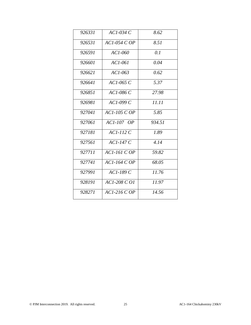| 926331 | $AC1-034C$       | 8.62   |
|--------|------------------|--------|
| 926531 | $AC1-054COP$     | 8.51   |
| 926591 | $ACI-060$        | 0.1    |
| 926601 | $ACI-06I$        | 0.04   |
| 926621 | $AC1-063$        | 0.62   |
| 926641 | $AC1-065C$       | 5.37   |
| 926851 | AC1-086 C        | 27.98  |
| 926981 | $AC1-099C$       | 11.11  |
| 927041 | $AC1-105$ C OP   | 5.85   |
| 927061 | AC1-107 OP       | 934.51 |
| 927181 | $AC1-112C$       | 1.89   |
| 927561 | $ACI-147C$       | 4.14   |
| 927711 | $AC1-161$ C $OP$ | 59.82  |
| 927741 | $AC1-164$ C OP   | 68.05  |
| 927991 | $ACI-189C$       | 11.76  |
| 928191 | $ACI-208 COI$    | 11.97  |
| 928271 | $ACI-2I6COP$     | 14.56  |
|        |                  |        |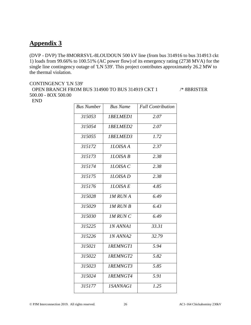(DVP - DVP) The 8MORRSVL-8LOUDOUN 500 kV line (from bus 314916 to bus 314913 ckt 1) loads from 99.66% to 100.51% (AC power flow) of its emergency rating (2738 MVA) for the single line contingency outage of 'LN 539'. This project contributes approximately 26.2 MW to the thermal violation.

#### CONTINGENCY 'LN 539' OPEN BRANCH FROM BUS 314900 TO BUS 314919 CKT 1 /\* 8BRISTER 500.00 - 8OX 500.00 END

| <b>Bus Number</b> | <b>Bus Name</b>        | <b>Full Contribution</b> |
|-------------------|------------------------|--------------------------|
| 315053            | <b>IBELMED1</b>        | 2.07                     |
| 315054            | <b>IBELMED2</b>        | 2.07                     |
| 315055            | 1BELMED3               | $\overline{1.72}$        |
| 315172            | <b>ILOISA A</b>        | 2.37                     |
| 315173            | <b>ILOISA B</b>        | 2.38                     |
| 315174            | ILOISA C               | 2.38                     |
| 315175            | <b>ILOISA</b> D        | 2.38                     |
| 315176            | <b>ILOISAE</b>         | 4.85                     |
| 315028            | <b>IM RUNA</b>         | 6.49                     |
| 315029            | <b>IM RUN B</b>        | 6.43                     |
| 315030            | <b>IM RUN C</b>        | 6.49                     |
| 315225            | <b>IN ANNA1</b>        | 33.31                    |
| 315226            | <b>IN ANNA2</b>        | 32.79                    |
| 315021            | <b>IREMNGT1</b>        | 5.94                     |
| 315022            | <b>IREMNGT2</b>        | 5.82                     |
| 315023            | <b>IREMNGT3</b>        | 5.85                     |
| 315024            | 1REMNGT4               | 5.91                     |
| 315177            | <i><b>ISANNAG1</b></i> | 1.25                     |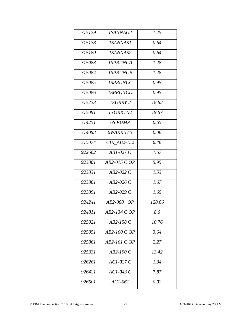| <i>ISANNAG2</i>        | 1.25   |
|------------------------|--------|
| <i><b>ISANNAS1</b></i> | 0.64   |
| <i><b>ISANNAS2</b></i> | 0.64   |
| <b>ISPRUNCA</b>        | 1.28   |
| <b>ISPRUNCB</b>        | 1.28   |
| <b>ISPRUNCC</b>        | 0.95   |
| <b>ISPRUNCD</b>        | 0.95   |
| <b>ISURRY 2</b>        | 18.62  |
| 1YORKTN2               | 19.67  |
| 6S PUMP                | 0.65   |
| <b>6WARRNTN</b>        | 0.08   |
| <b>CIR AB2-152</b>     | 6.48   |
| $AB1-027C$             | 1.67   |
| AB2-015 C OP           | 5.95   |
| $AB2-022C$             | 1.53   |
| AB2-026 C              | 1.67   |
| AB2-029 C              | 1.65   |
| AB2-068 OP             | 128.66 |
| AB2-134 C OP           | 8.6    |
| $AB2-158C$             | 10.76  |
| AB2-160 C OP           | 3.64   |
| AB2-161 C OP           | 2.27   |
| AB2-190 C              | 13.42  |
| $AC1-027C$             | 1.34   |
| $ACI-043C$             | 7.87   |
|                        |        |
|                        |        |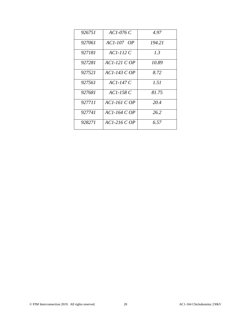| 926751 | AC1-076 C         | 4.97   |
|--------|-------------------|--------|
| 927061 | <i>AC1-107 OP</i> | 194.21 |
| 927181 | ACI-112 C         | 1.3    |
| 927281 | ACI-121 C OP      | 10.89  |
| 927521 | $ACI-143 COP$     | 8.72   |
| 927561 | $ACI-147C$        | 1.51   |
| 927681 | $AC1-158C$        | 81.75  |
| 927711 | ACI-161 C OP      | 20.4   |
| 927741 | $ACI-164 COP$     | 26.2   |
| 928271 | AC1-216 C OP      | 6.57   |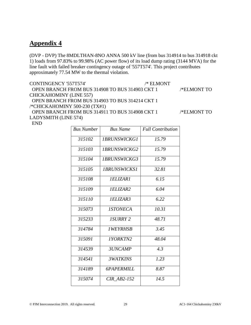(DVP - DVP) The 8MDLTHAN-8NO ANNA 500 kV line (from bus 314914 to bus 314918 ckt 1) loads from 97.83% to 99.98% (AC power flow) of its load dump rating (3144 MVA) for the line fault with failed breaker contingency outage of '557T574'. This project contributes approximately 77.54 MW to the thermal violation.

CONTINGENCY '557T574' /\* ELMONT

 OPEN BRANCH FROM BUS 314908 TO BUS 314903 CKT 1 /\*ELMONT TO CHICKAHOMINY (LINE 557) OPEN BRANCH FROM BUS 314903 TO BUS 314214 CKT 1

/\*CHICKAHOMINY 500-230 (TX#1)

 OPEN BRANCH FROM BUS 314911 TO BUS 314908 CKT 1 /\*ELMONT TO LADYSMITH (LINE 574)

END

| <b>Bus Number</b> | <b>Bus Name</b>            | <b>Full Contribution</b> |
|-------------------|----------------------------|--------------------------|
| 315102            | <b>IBRUNSWICKG1</b>        | 15.79                    |
| 315103            | <i><b>IBRUNSWICKG2</b></i> | 15.79                    |
| 315104            | <b>IBRUNSWICKG3</b>        | 15.79                    |
| 315105            | <i><b>IBRUNSWICKS1</b></i> | 32.81                    |
| 315108            | <i><b>IELIZAR1</b></i>     | 6.15                     |
| 315109            | <i>IELIZAR2</i>            | 6.04                     |
| 315110            | <i>IELIZAR3</i>            | 6.22                     |
| 315073            | <i><b>ISTONECA</b></i>     | 10.31                    |
| 315233            | <b>ISURRY 2</b>            | 48.71                    |
| 314784            | <i><b>IWEYRHSB</b></i>     | 3.45                     |
| 315091            | <i>IYORKTN2</i>            | 48.04                    |
| 314539            | 3UNCAMP                    | 4.3                      |
| 314541            | <b>3WATKINS</b>            | 1.23                     |
| 314189            | <b>6PAPERMILL</b>          | 8.87                     |
| 315074            | <b>CIR AB2-152</b>         | 14.5                     |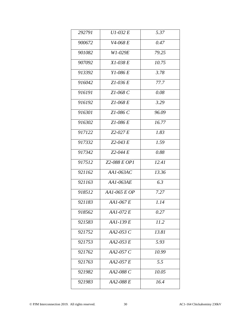| 292791 | $U1-032E$    | 5.37  |
|--------|--------------|-------|
| 900672 | V4-068 E     | 0.47  |
| 901082 | W1-029E      | 79.25 |
| 907092 | $X1-038E$    | 10.75 |
| 913392 | $Y1-086E$    | 3.78  |
| 916042 | $Zl - 036E$  | 77.7  |
| 916191 | $Z1-068C$    | 0.08  |
| 916192 | $Z1-068E$    | 3.29  |
| 916301 | $Z1-086C$    | 96.09 |
| 916302 | $Z1-086E$    | 16.77 |
| 917122 | $Z2-027E$    | 1.83  |
| 917332 | $Z2-043E$    | 1.59  |
| 917342 | $Z2-044E$    | 0.88  |
| 917512 | Z2-088 E OP1 | 12.41 |
| 921162 | AA1-063AC    | 13.36 |
| 921163 | AA1-063AE    | 6.3   |
| 918512 | AA1-065 E OP | 7.27  |
| 921183 | $AA1-067E$   | 1.14  |
| 918562 | AA1-072 E    | 0.27  |
| 921583 | AA1-139 E    | 11.2  |
| 921752 | AA2-053 C    | 13.81 |
| 921753 | $AA2-053E$   | 5.93  |
| 921762 | AA2-057 C    | 10.99 |
| 921763 | AA2-057 E    | 5.5   |
| 921982 | AA2-088 C    | 10.05 |
| 921983 | AA2-088 E    | 16.4  |
|        |              |       |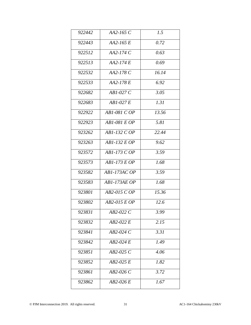| 922442 | AA2-165 C     | 1.5   |
|--------|---------------|-------|
| 922443 | $AA2-165E$    | 0.72  |
| 922512 | $AA2-174C$    | 0.63  |
| 922513 | AA2-174 E     | 0.69  |
| 922532 | AA2-178 C     | 16.14 |
| 922533 | AA2-178 E     | 6.92  |
| 922682 | $AB1-027C$    | 3.05  |
| 922683 | $AB1-027E$    | 1.31  |
| 922922 | AB1-081 C OP  | 13.56 |
| 922923 | $AB1-081EDP$  | 5.81  |
| 923262 | $AB1-132 COP$ | 22.44 |
| 923263 | $AB1-132EDP$  | 9.62  |
| 923572 | AB1-173 C OP  | 3.59  |
| 923573 | AB1-173 E OP  | 1.68  |
| 923582 | AB1-173AC OP  | 3.59  |
| 923583 | AB1-173AE OP  | 1.68  |
| 923801 | AB2-015 C OP  | 15.36 |
| 923802 | AB2-015 E OP  | 12.6  |
| 923831 | AB2-022 C     | 3.99  |
| 923832 | AB2-022 E     | 2.15  |
| 923841 | AB2-024 C     | 3.31  |
| 923842 | $AB2-024E$    | 1.49  |
| 923851 | AB2-025 C     | 4.06  |
| 923852 | $AB2-025E$    | 1.82  |
| 923861 | $AB2-026C$    | 3.72  |
| 923862 | AB2-026 E     | 1.67  |
|        |               |       |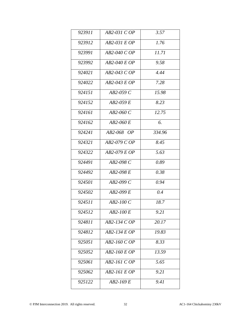| 923911 | AB2-031 C OP     | 3.57   |
|--------|------------------|--------|
| 923912 | AB2-031 E OP     | 1.76   |
| 923991 | AB2-040 C OP     | 11.71  |
| 923992 | AB2-040 E OP     | 9.58   |
| 924021 | AB2-043 C OP     | 4.44   |
| 924022 | AB2-043 E OP     | 7.28   |
| 924151 | $AB2-059C$       | 15.98  |
| 924152 | $AB2-059E$       | 8.23   |
| 924161 | $AB2-060C$       | 12.75  |
| 924162 | $AB2-060E$       | 6.     |
| 924241 | $AB2-068$ OP     | 334.96 |
| 924321 | AB2-079 C OP     | 8.45   |
| 924322 | AB2-079 E OP     | 5.63   |
| 924491 | AB2-098 C        | 0.89   |
| 924492 | AB2-098 E        | 0.38   |
| 924501 | $AB2-099C$       | 0.94   |
| 924502 | AB2-099 E        | 0.4    |
| 924511 | $AB2-100C$       | 18.7   |
| 924512 | <i>AB2-100 E</i> | 9.21   |
| 924811 | AB2-134 C OP     | 20.17  |
| 924812 | AB2-134 E OP     | 19.83  |
| 925051 | AB2-160 C OP     | 8.33   |
| 925052 | AB2-160 E OP     | 13.59  |
| 925061 | AB2-161 C OP     | 5.65   |
| 925062 | AB2-161 E OP     | 9.21   |
| 925122 | AB2-169 E        | 9.41   |
|        |                  |        |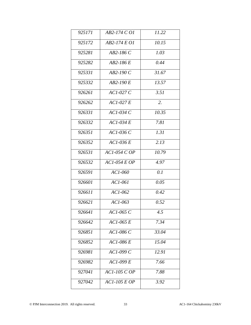| 925171 | AB2-174 C O1   | 11.22 |
|--------|----------------|-------|
| 925172 | AB2-174 E O1   | 10.15 |
| 925281 | $AB2-186C$     | 1.03  |
| 925282 | AB2-186 E      | 0.44  |
| 925331 | $AB2-190C$     | 31.67 |
| 925332 | $AB2-190E$     | 13.57 |
| 926261 | $ACI-027C$     | 3.51  |
| 926262 | $ACI-027E$     | 2.    |
| 926331 | $ACI-034C$     | 10.35 |
| 926332 | $AC1-034E$     | 7.81  |
| 926351 | $ACI-036C$     | 1.31  |
| 926352 | $ACI-036E$     | 2.13  |
| 926531 | AC1-054 C OP   | 10.79 |
| 926532 | $AC1-054EOP$   | 4.97  |
| 926591 | AC1-060        | 0.1   |
| 926601 | $ACI-06I$      | 0.05  |
| 926611 | $ACI-062$      | 0.42  |
| 926621 | $ACI-063$      | 0.52  |
| 926641 | AC1-065 C      | 4.5   |
| 926642 | $AC1-065E$     | 7.34  |
| 926851 | AC1-086 C      | 33.04 |
| 926852 | AC1-086 E      | 15.04 |
| 926981 | AC1-099 C      | 12.91 |
| 926982 | $ACI-099E$     | 7.66  |
| 927041 | $ACI-105$ C OP | 7.88  |
| 927042 | $ACI-105EOP$   | 3.92  |
|        |                |       |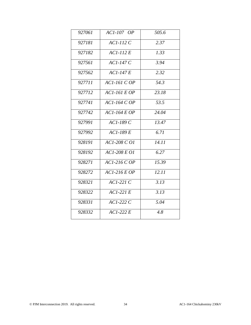| 927061 | $ACI-107$ $OP$   | 505.6              |
|--------|------------------|--------------------|
| 927181 | $ACI-112C$       | 2.37               |
| 927182 | $ACI-112E$       | 1.33               |
| 927561 | $ACI-147C$       | 3.94               |
| 927562 | $ACI-147E$       | 2.32               |
| 927711 | $AC1-161$ $COP$  | 54.3               |
| 927712 | $AC1-161EOP$     | 23.18              |
| 927741 | $AC1-164$ C $OP$ | 53.5               |
| 927742 | $ACI-164EOP$     | 24.04              |
| 927991 | $ACI-189C$       | 13.47              |
| 927992 | $ACI-189E$       | 6.71               |
| 928191 | AC1-208 C O1     | $\overline{14.11}$ |
| 928192 | AC1-208 E O1     | 6.27               |
| 928271 | $ACI-216COP$     | $\overline{15.39}$ |
| 928272 | $ACI-216EOP$     | $\overline{12.11}$ |
| 928321 | $ACI-22IC$       | 3.13               |
| 928322 | $ACI-22IE$       | 3.13               |
| 928331 | $ACI-222C$       | 5.04               |
| 928332 | $ACI-222E$       | 4.8                |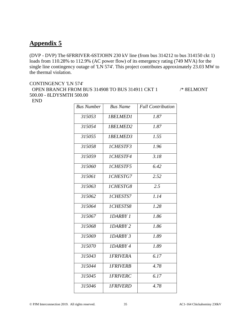(DVP - DVP) The 6FRRIVER-6STJOHN 230 kV line (from bus 314212 to bus 314150 ckt 1) loads from 110.28% to 112.9% (AC power flow) of its emergency rating (749 MVA) for the single line contingency outage of 'LN 574'. This project contributes approximately 23.03 MW to the thermal violation.

#### CONTINGENCY 'LN 574' OPEN BRANCH FROM BUS 314908 TO BUS 314911 CKT 1 /\* 8ELMONT 500.00 - 8LDYSMTH 500.00 END

| <b>Bus Number</b> | <b>Bus Name</b> | <b>Full Contribution</b> |
|-------------------|-----------------|--------------------------|
| 315053            | <b>IBELMED1</b> | 1.87                     |
| 315054            | 1BELMED2        | 1.87                     |
| 315055            | 1BELMED3        | $\overline{1.55}$        |
| 315058            | 1CHESTF3        | 1.96                     |
| 315059            | 1CHESTF4        | 3.18                     |
| 315060            | 1CHESTF5        | 6.42                     |
| 315061            | <b>ICHESTG7</b> | 2.52                     |
| 315063            | 1CHESTG8        | $\overline{2.5}$         |
| 315062            | 1CHESTS7        | 1.14                     |
| 315064            | 1CHESTS8        | $\overline{1.28}$        |
| 315067            | <b>IDARBY 1</b> | 7.86                     |
| 315068            | <b>IDARBY 2</b> | 1.86                     |
| 315069            | <b>IDARBY 3</b> | 1.89                     |
| 315070            | <b>IDARBY 4</b> | 1.89                     |
| 315043            | <b>IFRIVERA</b> | 6.17                     |
| 315044            | <b>IFRIVERB</b> | 4.78                     |
| 315045            | <b>IFRIVERC</b> | 6.17                     |
| 315046            | <b>IFRIVERD</b> | 4.78                     |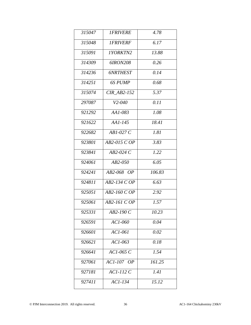| 315047 | <i><b>IFRIVERE</b></i> | 4.78   |
|--------|------------------------|--------|
| 315048 | <i><b>IFRIVERF</b></i> | 6.17   |
| 315091 | 1YORKTN2               | 13.88  |
| 314309 | 6IRON208               | 0.26   |
| 314236 | <b>6NRTHEST</b>        | 0.14   |
| 314251 | 6S PUMP                | 0.68   |
| 315074 | $CIR$ $AB2-152$        | 5.37   |
| 297087 | $V2 - 040$             | 0.11   |
| 921292 | AA1-083                | 1.08   |
| 921622 | $AA1-145$              | 18.41  |
| 922682 | $AB1-027C$             | 1.81   |
| 923801 | AB2-015 C OP           | 3.83   |
| 923841 | AB2-024 C              | 1.22   |
| 924061 | $AB2-050$              | 6.05   |
| 924241 | AB2-068 OP             | 106.83 |
| 924811 | AB2-134 C OP           | 6.63   |
| 925051 | AB2-160 C OP           | 2.92   |
| 925061 | $AB2-161$ C OP         | 1.57   |
| 925331 | $AB2-190C$             | 10.23  |
| 926591 | AC1-060                | 0.04   |
| 926601 | $ACI-06I$              | 0.02   |
| 926621 | $AC1-063$              | 0.18   |
| 926641 | $ACI-065C$             | 1.54   |
| 927061 | AC1-107 OP             | 161.25 |
| 927181 | $ACI-112C$             | 1.41   |
| 927411 | $ACI-134$              | 15.12  |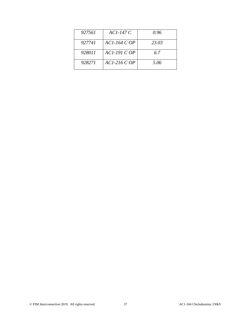| 927561 | $ACI-147C$     | 0.96  |
|--------|----------------|-------|
| 927741 | $AC1-164$ C OP | 23.03 |
| 928011 | $ACI-19ICOP$   | 6.7   |
| 928271 | $ACI-216 COP$  | 5.06  |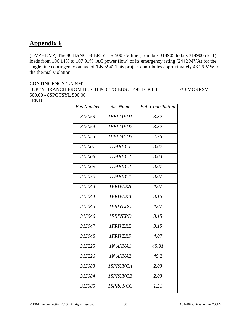(DVP - DVP) The 8CHANCE-8BRISTER 500 kV line (from bus 314905 to bus 314900 ckt 1) loads from 106.14% to 107.91% (AC power flow) of its emergency rating (2442 MVA) for the single line contingency outage of 'LN 594'. This project contributes approximately 43.26 MW to the thermal violation.

#### CONTINGENCY 'LN 594' OPEN BRANCH FROM BUS 314916 TO BUS 314934 CKT 1 /\* 8MORRSVL 500.00 - 8SPOTSYL 500.00 END

| <b>Bus Number</b> | <b>Bus Name</b> | <b>Full Contribution</b> |
|-------------------|-----------------|--------------------------|
| 315053            | <b>IBELMED1</b> | 3.32                     |
| 315054            | 1BELMED2        | 3.32                     |
| 315055            | <b>IBELMED3</b> | $\overline{2.75}$        |
| 315067            | <b>IDARBY 1</b> | 3.02                     |
| 315068            | <b>IDARBY 2</b> | 3.03                     |
| 315069            | <b>IDARBY 3</b> | 3.07                     |
| 315070            | <b>IDARBY 4</b> | 3.07                     |
| 315043            | <b>IFRIVERA</b> | 4.07                     |
| 315044            | <b>IFRIVERB</b> | $\overline{3.15}$        |
| 315045            | <b>IFRIVERC</b> | 4.07                     |
| 315046            | <b>IFRIVERD</b> | 3.15                     |
| 315047            | <b>IFRIVERE</b> | 3.15                     |
| 315048            | <b>IFRIVERF</b> | 4.07                     |
| 315225            | <b>IN ANNA1</b> | 45.91                    |
| 315226            | <b>IN ANNA2</b> | 45.2                     |
| 315083            | <b>ISPRUNCA</b> | 2.03                     |
| 315084            | <b>ISPRUNCB</b> | 2.03                     |
| 315085            | <b>ISPRUNCC</b> | 1.51                     |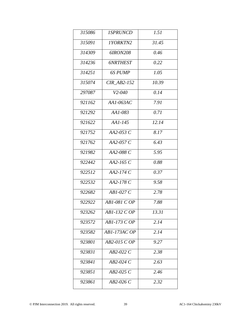| 315086 | <i><b>ISPRUNCD</b></i> | 1.51  |
|--------|------------------------|-------|
| 315091 | <i><b>IYORKTN2</b></i> | 31.45 |
| 314309 | 6IRON208               | 0.46  |
| 314236 | <b>6NRTHEST</b>        | 0.22  |
| 314251 | 6S PUMP                | 1.05  |
| 315074 | $CIR\_AB2-152$         | 10.39 |
| 297087 | $V2 - 040$             | 0.14  |
| 921162 | AA1-063AC              | 7.91  |
| 921292 | AA1-083                | 0.71  |
| 921622 | $AA1-145$              | 12.14 |
| 921752 | AA2-053 C              | 8.17  |
| 921762 | AA2-057 C              | 6.43  |
| 921982 | AA2-088 C              | 5.95  |
| 922442 | AA2-165 C              | 0.88  |
| 922512 | AA2-174 C              | 0.37  |
| 922532 | AA2-178 C              | 9.58  |
| 922682 | $AB1-027C$             | 2.78  |
| 922922 | AB1-081 C OP           | 7.88  |
| 923262 | AB1-132 C OP           | 13.31 |
| 923572 | AB1-173 C OP           | 2.14  |
| 923582 | AB1-173AC OP           | 2.14  |
| 923801 | AB2-015 C OP           | 9.27  |
| 923831 | $AB2-022C$             | 2.38  |
| 923841 | $AB2-024C$             | 2.63  |
| 923851 | $AB2-025C$             | 2.46  |
| 923861 | $AB2-026C$             | 2.32  |
|        |                        |       |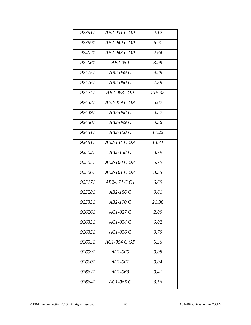| 923911 | AB2-031 C OP     | 2.12   |
|--------|------------------|--------|
| 923991 | AB2-040 C OP     | 6.97   |
| 924021 | AB2-043 C OP     | 2.64   |
| 924061 | $AB2-050$        | 3.99   |
| 924151 | $AB2-059C$       | 9.29   |
| 924161 | AB2-060 C        | 7.59   |
| 924241 | AB2-068 OP       | 215.35 |
| 924321 | AB2-079 C OP     | 5.02   |
| 924491 | AB2-098 C        | 0.52   |
| 924501 | $AB2-099C$       | 0.56   |
| 924511 | $AB2-100C$       | 11.22  |
| 924811 | AB2-134 C OP     | 13.71  |
| 925021 | AB2-158 C        | 8.79   |
| 925051 | AB2-160 C OP     | 5.79   |
| 925061 | AB2-161 C OP     | 3.55   |
| 925171 | AB2-174 C O1     | 6.69   |
| 925281 | AB2-186 C        | 0.61   |
| 925331 | $AB2-190C$       | 21.36  |
| 926261 | $ACI-027C$       | 2.09   |
| 926331 | $ACI-034C$       | 6.02   |
| 926351 | $ACI-036C$       | 0.79   |
| 926531 | $ACI-054$ C $OP$ | 6.36   |
| 926591 | AC1-060          | 0.08   |
| 926601 | $ACI-06I$        | 0.04   |
| 926621 | $ACI-063$        | 0.41   |
| 926641 | AC1-065 C        | 3.56   |
|        |                  |        |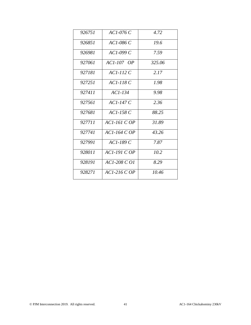| 926751 | AC1-076 C      | 4.72   |
|--------|----------------|--------|
| 926851 | $AC1-086C$     | 19.6   |
| 926981 | $ACI-099C$     | 7.59   |
| 927061 | $AC1-107$ OP   | 325.06 |
| 927181 | $AC1-112C$     | 2.17   |
| 927251 | $AC1-118C$     | 1.98   |
| 927411 | $AC1-134$      | 9.98   |
| 927561 | $ACI-147C$     | 2.36   |
| 927681 | $AC1-158C$     | 88.25  |
| 927711 | $AC1-161$ C OP | 31.89  |
| 927741 | $ACI-164$ C OP | 43.26  |
| 927991 | $AC1-189C$     | 7.87   |
| 928011 | $AC1-191COP$   | 10.2   |
| 928191 | $AC1-208 CO1$  | 8.29   |
| 928271 | $ACI-216 COP$  | 10.46  |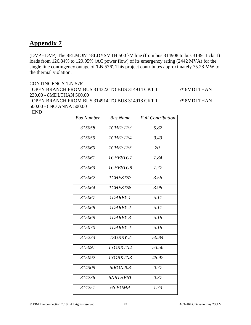(DVP - DVP) The 8ELMONT-8LDYSMTH 500 kV line (from bus 314908 to bus 314911 ckt 1) loads from 126.84% to 129.95% (AC power flow) of its emergency rating (2442 MVA) for the single line contingency outage of 'LN 576'. This project contributes approximately 75.28 MW to the thermal violation.

#### CONTINGENCY 'LN 576'

 OPEN BRANCH FROM BUS 314322 TO BUS 314914 CKT 1 /\* 6MDLTHAN 230.00 - 8MDLTHAN 500.00 OPEN BRANCH FROM BUS 314914 TO BUS 314918 CKT 1  $\frac{\text{N}}{\text{N}}$  SMDLTHAN 500.00 - 8NO ANNA 500.00

END

| <b>Bus Number</b> | <b>Bus Name</b> | <b>Full Contribution</b> |
|-------------------|-----------------|--------------------------|
| 315058            | <b>ICHESTF3</b> | 5.82                     |
| 315059            | 1CHESTF4        | 9.43                     |
| 315060            | <b>ICHESTF5</b> | 20.                      |
| 315061            | 1CHESTG7        | 7.84                     |
| 315063            | 1CHESTG8        | 7.77                     |
| 315062            | <b>ICHESTS7</b> | 3.56                     |
| 315064            | <b>ICHESTS8</b> | 3.98                     |
| 315067            | <b>IDARBY 1</b> | $\overline{5.11}$        |
| 315068            | <b>IDARBY2</b>  | 5.11                     |
| 315069            | <b>IDARBY 3</b> | 5.18                     |
| 315070            | IDARBY4         | 5.18                     |
| 315233            | <b>ISURRY 2</b> | 50.84                    |
| 315091            | <b>IYORKTN2</b> | 53.56                    |
| 315092            | 1YORKTN3        | 45.92                    |
| 314309            | 6IRON208        | $\overline{0.77}$        |
| 314236            | <b>6NRTHEST</b> | 0.37                     |
| 314251            | 6S PUMP         | 1.73                     |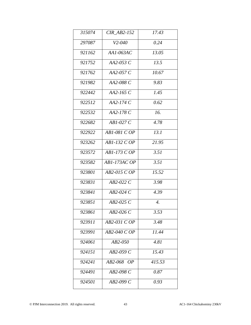| 315074 | <b>CIR AB2-152</b> | 17.43  |
|--------|--------------------|--------|
| 297087 | $V2 - 040$         | 0.24   |
| 921162 | AA1-063AC          | 13.05  |
| 921752 | AA2-053 C          | 13.5   |
| 921762 | AA2-057 C          | 10.67  |
| 921982 | AA2-088 C          | 9.83   |
| 922442 | AA2-165 C          | 1.45   |
| 922512 | $AA2-174C$         | 0.62   |
| 922532 | AA2-178 C          | 16.    |
| 922682 | $AB1-027C$         | 4.78   |
| 922922 | $AB1-081CDP$       | 13.1   |
| 923262 | AB1-132 C OP       | 21.95  |
| 923572 | AB1-173 C OP       | 3.51   |
| 923582 | AB1-173AC OP       | 3.51   |
| 923801 | AB2-015 C OP       | 15.52  |
| 923831 | AB2-022 C          | 3.98   |
| 923841 | $AB2-024C$         | 4.39   |
| 923851 | $AB2-025C$         | 4.     |
| 923861 | $AB2-026C$         | 3.53   |
| 923911 | AB2-031 C OP       | 3.48   |
| 923991 | AB2-040 C OP       | 11.44  |
| 924061 | $AB2-050$          | 4.81   |
| 924151 | $AB2-059C$         | 15.43  |
| 924241 | AB2-068 OP         | 415.53 |
| 924491 | AB2-098 C          | 0.87   |
| 924501 | AB2-099 C          | 0.93   |
|        |                    |        |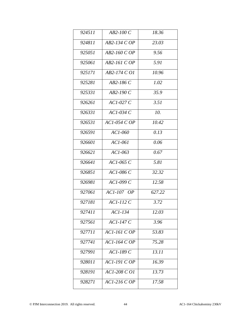| 924511 | $AB2-100C$      | 18.36  |
|--------|-----------------|--------|
| 924811 | AB2-134 C OP    | 23.03  |
| 925051 | AB2-160 C OP    | 9.56   |
| 925061 | $AB2-161$ C OP  | 5.91   |
| 925171 | AB2-174 C O1    | 10.96  |
| 925281 | $AB2-186C$      | 1.02   |
| 925331 | $AB2-190C$      | 35.9   |
| 926261 | $ACI-027C$      | 3.51   |
| 926331 | $ACI-034C$      | 10.    |
| 926531 | $ACI-054COP$    | 10.42  |
| 926591 | AC1-060         | 0.13   |
| 926601 | $AC1-061$       | 0.06   |
| 926621 | $ACI-063$       | 0.67   |
| 926641 | $ACI-065C$      | 5.81   |
| 926851 | AC1-086 C       | 32.32  |
| 926981 | AC1-099 C       | 12.58  |
| 927061 | AC1-107 OP      | 627.22 |
| 927181 | $ACI-112C$      | 3.72   |
| 927411 | AC1-134         | 12.03  |
| 927561 | $ACI-147C$      | 3.96   |
| 927711 | $AC1-161$ C OP  | 53.83  |
| 927741 | $ACI-164$ C OP  | 75.28  |
| 927991 | $ACI-189C$      | 13.11  |
| 928011 | $AC1-191$ $COP$ | 16.39  |
| 928191 | AC1-208 C O1    | 13.73  |
| 928271 | $ACI-216 COP$   | 17.58  |
|        |                 |        |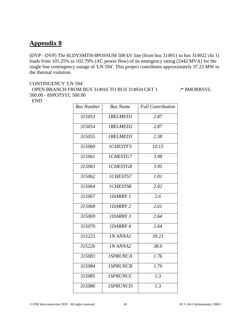(DVP - DVP) The 8LDYSMTH-8POSSUM 500 kV line (from bus 314911 to bus 314922 ckt 1) loads from 101.25% to 102.79% (AC power flow) of its emergency rating (2442 MVA) for the single line contingency outage of 'LN 594'. This project contributes approximately 37.23 MW to the thermal violation.

#### CONTINGENCY 'LN 594' OPEN BRANCH FROM BUS 314916 TO BUS 314934 CKT 1 /\* 8MORRSVL 500.00 - 8SPOTSYL 500.00 END

| <b>Bus Number</b> | <b>Bus Name</b> | <b>Full Contribution</b> |
|-------------------|-----------------|--------------------------|
| 315053            | <b>IBELMED1</b> | 2.87                     |
| 315054            | 1BELMED2        | 2.87                     |
| 315055            | 1BELMED3        | 2.38                     |
| 315060            | <b>ICHESTF5</b> | $\overline{10.15}$       |
| 315061            | 1CHESTG7        | 3.98                     |
| 315063            | 1CHESTG8        | 3.95                     |
| 315062            | 1CHESTS7        | 1.81                     |
| 315064            | 1CHESTS8        | 2.02                     |
| 315067            | <b>IDARBY 1</b> | $\overline{2.6}$         |
| 315068            | <b>IDARBY 2</b> | 2.61                     |
| 315069            | <b>IDARBY 3</b> | 2.64                     |
| 315070            | <b>IDARBY 4</b> | 2.64                     |
| 315225            | INANNAI         | 39.21                    |
| 315226            | <b>IN ANNA2</b> | 38.6                     |
| 315083            | <b>ISPRUNCA</b> | 1.76                     |
| 315084            | <b>ISPRUNCB</b> | 1.76                     |
| 315085            | <b>ISPRUNCC</b> | 1.3                      |
| 315086            | <b>ISPRUNCD</b> | 1.3                      |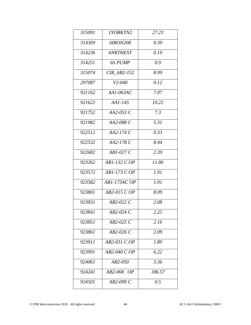| 315091 | <i>IYORKTN2</i>    | 27.23  |
|--------|--------------------|--------|
| 314309 | 6 <i>IRON208</i>   | 0.39   |
| 314236 | <b>6NRTHEST</b>    | 0.19   |
| 314251 | 6S PUMP            | 0.9    |
| 315074 | <b>CIR AB2-152</b> | 8.99   |
| 297087 | $V2 - 040$         | 0.12   |
| 921162 | AA1-063AC          | 7.07   |
| 921622 | $AA1-145$          | 10.22  |
| 921752 | AA2-053 C          | 7.3    |
| 921982 | AA2-088 C          | 5.31   |
| 922512 | $AA2-174C$         | 0.33   |
| 922532 | AA2-178 C          | 8.44   |
| 922682 | $AB1-027C$         | 2.39   |
| 923262 | AB1-132 C OP       | 11.86  |
| 923572 | AB1-173 C OP       | 1.91   |
| 923582 | AB1-173AC OP       | 1.91   |
| 923801 | AB2-015 C OP       | 8.09   |
| 923831 | AB2-022 C          | 2.08   |
| 923841 | $AB2-024C$         | 2.25   |
| 923851 | AB2-025 C          | 2.16   |
| 923861 | $AB2-026C$         | 2.09   |
| 923911 | AB2-031 C OP       | 1.89   |
| 923991 | AB2-040 C OP       | 6.22   |
| 924061 | AB2-050            | 3.36   |
| 924241 | AB2-068 OP         | 186.57 |
| 924501 | AB2-099 C          | 0.5    |
|        |                    |        |